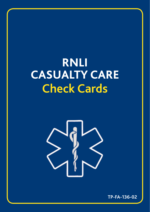# **RNLI CASUALTY CARE Check Cards**



 **TP-FA-136-02**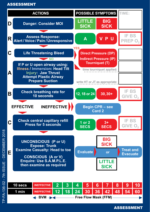#### ASSESSMENT



-FA-136-02 - 7th ISSUE - DECEMBER 2018 TP-FA-136-02 - 7th ISSUE - DECEMBER 2018

ASSESSMENT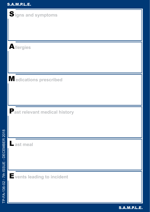| Signs and symptoms                   |
|--------------------------------------|
|                                      |
|                                      |
| Allergies                            |
|                                      |
|                                      |
| Medications prescribed               |
|                                      |
|                                      |
| <b>Past relevant medical history</b> |
|                                      |
| ast meal                             |
|                                      |
|                                      |
| Events leading to incident           |
|                                      |
|                                      |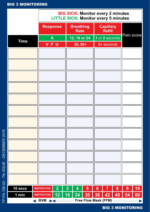# BIG 3 MONITORING

|             |                                                        | <b>BIG SICK: Monitor every 2 minutes</b><br><b>LITTLE SICK: Monitor every 5 minutes</b> |    |                                 |    |    |                            |    |            |    |
|-------------|--------------------------------------------------------|-----------------------------------------------------------------------------------------|----|---------------------------------|----|----|----------------------------|----|------------|----|
|             |                                                        | <b>Response</b>                                                                         |    | <b>Breathing</b><br><b>Rate</b> |    |    | <b>Capillary</b><br>Refill |    |            |    |
| <b>Time</b> |                                                        | A                                                                                       |    | 12, 18 or 24                    |    |    | 1 or 2 seconds             |    | Pain score |    |
|             |                                                        | <b>VPU</b>                                                                              |    | $30, 30+$                       |    |    | 3+ seconds                 |    |            |    |
|             |                                                        |                                                                                         |    |                                 |    |    |                            |    |            |    |
|             |                                                        |                                                                                         |    |                                 |    |    |                            |    |            |    |
|             |                                                        |                                                                                         |    |                                 |    |    |                            |    |            |    |
|             |                                                        |                                                                                         |    |                                 |    |    |                            |    |            |    |
|             |                                                        |                                                                                         |    |                                 |    |    |                            |    |            |    |
|             |                                                        |                                                                                         |    |                                 |    |    |                            |    |            |    |
|             |                                                        |                                                                                         |    |                                 |    |    |                            |    |            |    |
|             |                                                        |                                                                                         |    |                                 |    |    |                            |    |            |    |
|             |                                                        |                                                                                         |    |                                 |    |    |                            |    |            |    |
|             |                                                        |                                                                                         |    |                                 |    |    |                            |    |            |    |
|             |                                                        |                                                                                         |    |                                 |    |    |                            |    |            |    |
|             |                                                        |                                                                                         |    |                                 |    |    |                            |    |            |    |
| 10 secs     | <b>INEFFECTIVE</b>                                     | $\overline{2}$                                                                          | 3  | 4                               | 5  | 6  | 7                          | 8  | 9          | 10 |
| 1 min       | <b>INEFFECTIVE</b>                                     | 12                                                                                      | 18 | 24                              | 30 | 36 | 42                         | 48 | 54         | 60 |
|             | $\leftarrow$ BVM $\rightarrow$<br>Free Flow Mask (FFM) |                                                                                         |    |                                 |    |    |                            |    |            |    |

BIG 3 MONITORING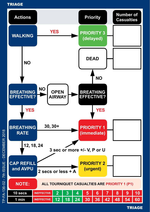



P-FA-136-02 - 7th ISSUE - DECEMBER 2018 TP-FA-136-02 - 7th ISSUE - DECEMBER 2018

**TRIAGE**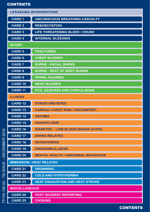# **CONTENTS**

|               | <b>LIFESAVING INTERVENTIONS</b>                             |                                          |  |  |  |  |  |  |
|---------------|-------------------------------------------------------------|------------------------------------------|--|--|--|--|--|--|
|               | <b>CARD 1</b>                                               | <b>UNCONSCIOUS BREATHING CASUALTY</b>    |  |  |  |  |  |  |
|               | <b>CARD 2</b>                                               | <b>RESUSCITATION</b>                     |  |  |  |  |  |  |
|               | <b>CARD 3</b>                                               | LIFE THREATENING BLEED / CRUSH           |  |  |  |  |  |  |
|               | <b>CARD 4</b>                                               | <b>INTERNAL BLEEDING</b>                 |  |  |  |  |  |  |
|               | <b>INJURY</b>                                               |                                          |  |  |  |  |  |  |
|               | <b>CARD 5</b>                                               | <b>FRACTURES</b>                         |  |  |  |  |  |  |
|               | <b>CARD 6</b>                                               | <b>CHEST INJURIES</b>                    |  |  |  |  |  |  |
|               | <b>CARD 7</b>                                               | <b>BURNS - FACIAL BURNS</b>              |  |  |  |  |  |  |
|               | <b>CARD 8</b>                                               | <b>BURNS - REST OF BODY BURNS</b>        |  |  |  |  |  |  |
|               | <b>CARD 9</b>                                               | <b>SPINAL INJURIES</b>                   |  |  |  |  |  |  |
|               | <b>CARD 10</b>                                              | <b>HEAD INJURIES</b>                     |  |  |  |  |  |  |
|               | <b>CARD 11</b>                                              | <b>FITS, SEIZURES AND CONVULSIONS</b>    |  |  |  |  |  |  |
|               | <b>ILLNESS</b>                                              |                                          |  |  |  |  |  |  |
|               | <b>CARD 12</b>                                              | <b>STINGS AND BITES</b>                  |  |  |  |  |  |  |
|               | CARD <sub>13</sub>                                          | <b>CARDIAC CHEST PAIN / DISCOMFORT</b>   |  |  |  |  |  |  |
|               | <b>CARD 14</b>                                              | <b>ASTHMA</b>                            |  |  |  |  |  |  |
|               | <b>CARD 15</b>                                              | <b>ANAPHYLAXIS</b>                       |  |  |  |  |  |  |
| $\infty$      | CARD <sub>16</sub>                                          | <b>DIABETES – LOW BLOOD SUGAR (HYPO)</b> |  |  |  |  |  |  |
|               | <b>CARD 17</b>                                              | <b>DIVING RELATED</b>                    |  |  |  |  |  |  |
|               | <b>CARD 18</b>                                              | <b>SEASICKNESS</b>                       |  |  |  |  |  |  |
| DECEMBER 201  | <b>CARD 19</b>                                              | <b>UNKNOWN ILLNESS</b>                   |  |  |  |  |  |  |
|               | <b>CARD 20</b><br><b>MENTAL HEALTH / ABNORMAL BEHAVIOUR</b> |                                          |  |  |  |  |  |  |
| п             |                                                             | <b>IMMERSION / HEAT RELATED</b>          |  |  |  |  |  |  |
| <b>ISSUE</b>  | <b>CARD 21</b>                                              | <b>DROWNING</b>                          |  |  |  |  |  |  |
| $\frac{1}{2}$ | <b>CARD 22</b>                                              | <b>COLD AND HYPOTHERMIA</b>              |  |  |  |  |  |  |
|               | <b>CARD 23</b>                                              | <b>HEAT EXHAUSTION AND HEAT STROKE</b>   |  |  |  |  |  |  |
| P-FA-136-02   | <b>MISCELLANEOUS</b>                                        |                                          |  |  |  |  |  |  |
|               | CARD <sub>24</sub>                                          | POST INCIDENT REPORTING                  |  |  |  |  |  |  |
|               | <b>CARD 25</b>                                              | <b>CHOKING</b>                           |  |  |  |  |  |  |

# **CONTENTS**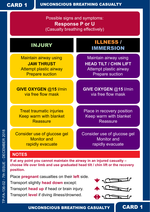CARD 1

UNCONSCIOUS BREATHING CASUALTY

Possible signs and symptoms: **Response P or U** (Casualty breathing effectively)

Maintain airway using **JAW THRUST** Attempt plastic airway Prepare suction

**GIVE OXYGEN** @**15** l/min via free fow mask

Treat traumatic injuries Keep warm with blanket **Reassure** 

Consider use of glucose gel Monitor and rapidly evacuate

INJURY ILLNESS / IMMERSION

> Maintain airway using **HEAD TILT / CHIN LIFT** Attempt plastic airway Prepare suction

**GIVE OXYGEN** @**15** l/min via free flow mask

Place in recovery position Keep warm with blanket Reassure

Consider use of glucose gel Monitor and rapidly evacuate

#### **NOTES**

**If at any point you cannot maintain the airway in an injured casualty – choose life over limb and use graduated head tilt / chin lift or the recovery position.**

Place **pregnant** casualties on their **left** side. Transport slightly **head down** except: Transport **head up** if head or brain injury. Transport **level** if diving illness/drowned.



CARD 1

UNCONSCIOUS BREATHING CASUALTY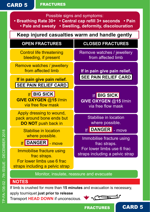## CARD 5

TP-FA-136-02 - 7th ISSUE - DECEMBER 2018

P-FA-136-02 - 7th ISSUE - DECEMBER 2018

#### FRACTURES

Possible signs and symptoms:<br>• Breathing Rate 30+ • Central cap refill 3+ • Central cap refill 3+ seconds • Pain  **• Pale and sweaty • Swelling, deformity, discolouration**

**Keep injured casualties warm and handle gently**

| <b>OPEN FRACTURES</b>                                                               | <b>CLOSED FRACTURES</b>                                           |  |  |  |  |
|-------------------------------------------------------------------------------------|-------------------------------------------------------------------|--|--|--|--|
| <b>Control life threatening</b><br>bleeding, if present                             | Remove watches / jewellery<br>from affected limb                  |  |  |  |  |
| Remove watches / jewellery<br>from affected limb                                    | If in pain give pain relief.                                      |  |  |  |  |
| If in pain give pain relief.<br><b>SEE PAIN RELIEF CARD</b>                         | <b>SEE PAIN RELIEF CARD</b>                                       |  |  |  |  |
| <b>If BIG SICK</b><br><b>GIVE OXYGEN @15 I/min</b><br>via free flow mask            | <b>If BIG SICK</b><br>GIVE OXYGEN @15 I/min<br>via free flow mask |  |  |  |  |
| Apply dressing to wound,<br>pack around bone ends but<br><b>DO NOT</b> push back in | Stabilise in location<br>where possible.                          |  |  |  |  |
| Stabilise in location                                                               | <b>If DANGER</b> - move                                           |  |  |  |  |
| where possible.<br>If DANGER - move                                                 | Immobilise fracture using<br>frac straps.                         |  |  |  |  |
| Immobilise fracture using<br>frac straps.                                           | For lower limbs use 6 frac<br>straps including a pelvic strap     |  |  |  |  |
| For lower limbs use 6 frac<br>straps including a pelvic strap                       |                                                                   |  |  |  |  |
| Monitor, insulate, reassure and evacuate                                            |                                                                   |  |  |  |  |
| <b>NOTES</b>                                                                        |                                                                   |  |  |  |  |

If limb is crushed for more than **15 minutes** and evacuation is necessary,

apply tourniquet **just prior to release** Transport **HEAD DOWN** if unconscious.



CARD 5

FRACTURES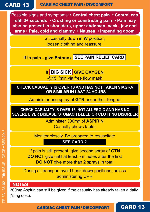# CARD 13

#### CARDIAC CHEST PAIN / DISCOMFORT

Possible signs and symptoms: **• Central chest pain • Central cap refll 3+ seconds • Crushing or constricting pain • Pain may also be present in shoulders, upper abdomen, neck , jaw and arms • Pale, cold and clammy • Nausea • Impending doom**

> Sit casualty down in **W** position, loosen clothing and reassure.

**If in pain - give Entonox** SEE PAIN RELIEF CARD

If **BIG SICK GIVE OXYGEN**

@15 l/min via free flow mask

**CHECK CASUALTY IS OVER 18 AND HAS NOT TAKEN VIAGRA OR SIMILAR IN LAST 24 HOURS**

Administer one spray of **GTN** under their tongue

**CHECK CASUALTY IS OVER 16, NOT ALLERGIC AND HAS NO SEVERE LIVER DISEASE, STOMACH BLEED OR CLOTTING DISORDER**

> Administer 300mg of **ASPIRIN** Casualty chews tablet

Monitor closely. Be prepared to resuscitate

**SEE CARD 2**

If pain is still present, give second spray of **GTN DO NOT** give until at least 5 minutes after the first **DO NOT** give more than 2 sprays in total

During all transport avoid head down positions, unless administering CPR

#### **NOTES**

300mg Aspirin can still be given if the casualty has already taken a daily 75mg dose.

CARDIAC CHEST PAIN / DISCOMFORT

CARD 13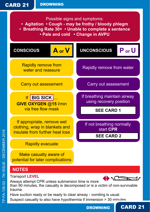TP-FA-136-02 - 7th ISSUE - DECEMBER 2018

FA-136-02 - 7th ISSUE - DECEMBER 2018

Possible signs and symptoms:

- **Agitation Cough may be frothy / bloody phlegm**
- **Breathing Rate 30+ Unable to complete a sentence**
	- **Pale and cold Change in AVPU**



Suspect casualty to also have hypothermia if immersion > 30 minutes.

**DROWNING** 

CARD 21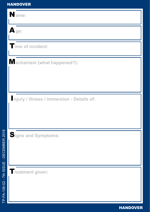| HANDOVER                                  |  |
|-------------------------------------------|--|
| Name:                                     |  |
| $\mathbf{A}$ ge:                          |  |
| Time of incident:                         |  |
| Mechanism (what happened?):               |  |
|                                           |  |
| njury / illness / immersion - Details of: |  |
|                                           |  |
|                                           |  |
| Signs and Symptoms:                       |  |
|                                           |  |
|                                           |  |
| Treatment given:                          |  |
|                                           |  |
|                                           |  |

HANDOVER